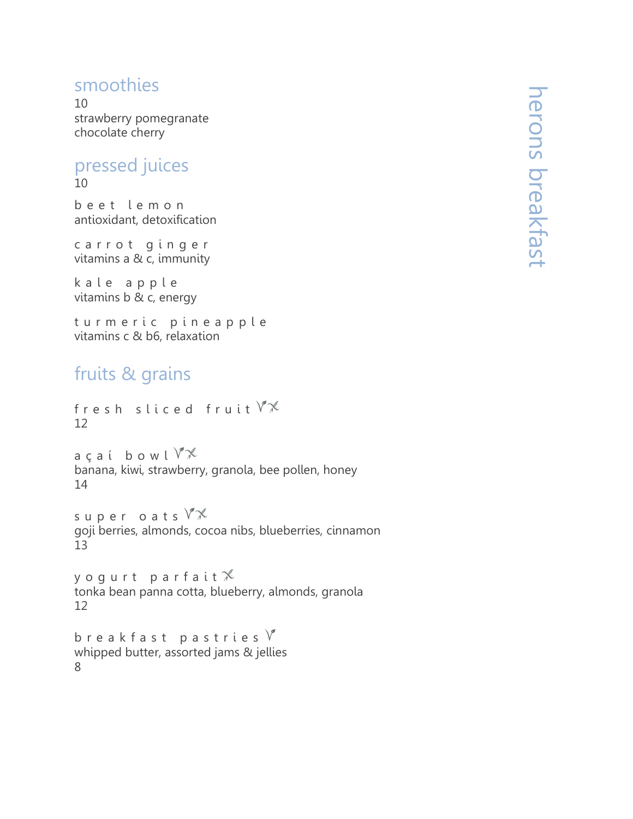## smoothies

10 strawberry pomegranate chocolate cherry

#### pressed juices 10

b e e t l e m o n antioxidant, detoxification

carrot ginger vitamins a & c, immunity

kale apple vitamins b & c, energy

turmeric pineapple vitamins c & b6, relaxation

# fruits & grains

```
fresh sliced fruit \forall x12
```
 $a$  c a í b o w l  $\sqrt[n]{x}$ banana, kiwi, strawberry, granola, bee pollen, honey 14

super oats  $\sqrt[n]{x}$ goji berries, almonds, cocoa nibs, blueberries, cinnamon 13

y o g u r t p a r f a i t  $\mathcal X$ tonka bean panna cotta, blueberry, almonds, granola 12

b r e a k f a s t p a s t r i e s  $\sqrt[n]{}$ whipped butter, assorted jams & jellies 8